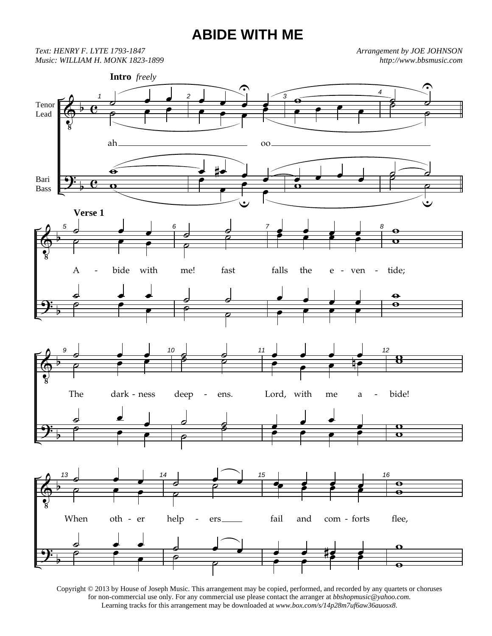## **ABIDE WITH ME**

*Text: HENRY F. LYTE 1793-1847 Music: WILLIAM H. MONK 1823-1899*  *Arrangement by JOE JOHNSON http://www.bbsmusic.com*



Copyright © 2013 by House of Joseph Music. This arrangement may be copied, performed, and recorded by any quartets or choruses for non-commercial use only. For any commercial use please contact the arranger at *bbshopmusic@yahoo.com*. Learning tracks for this arrangement may be downloaded at *www.box.com/s/14p28m7uf6aw36auosx8*.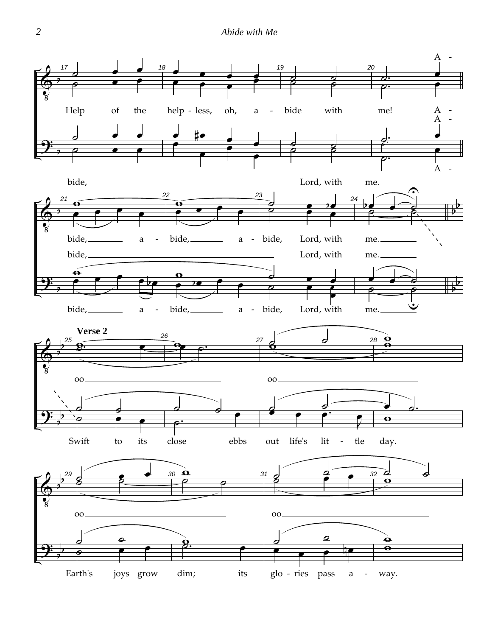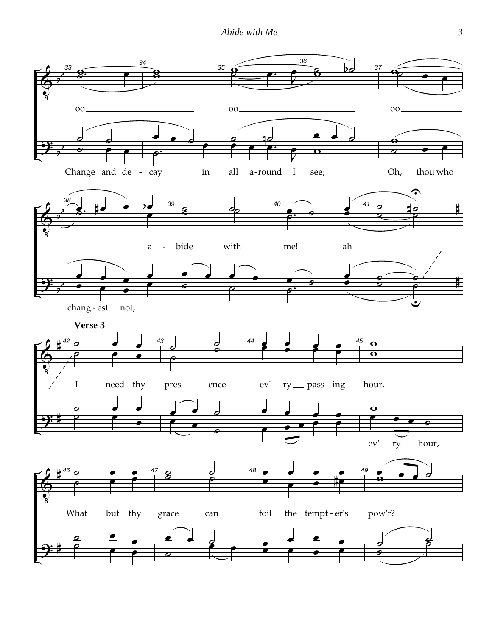